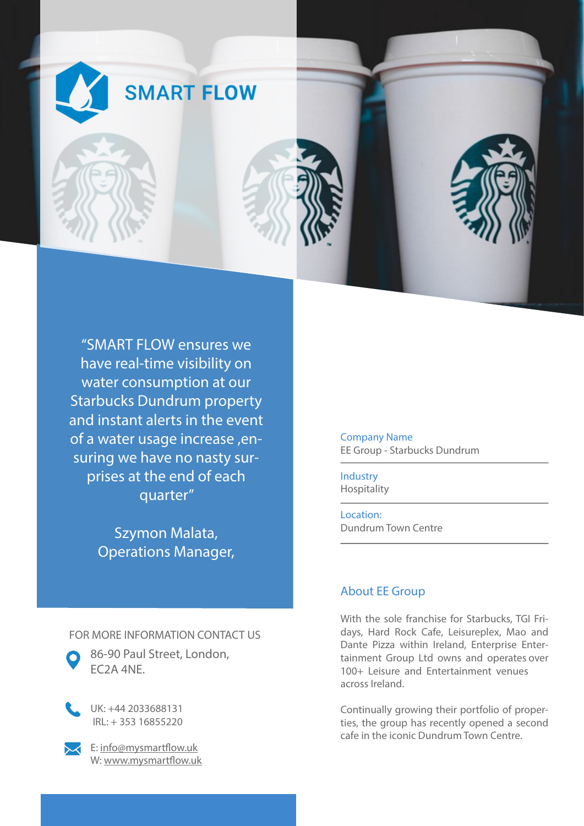

"SMART FLOW ensures we have real-time visibility on water consumption at our Starbucks Dundrum property and instant alerts in the event of a water usage increase ,ensuring we have no nasty surprises at the end of each quarter"

> Szymon Malata, Operations Manager,

FOR MORE INFORMATION CONTACT US

86-90 Paul Street, London, EC2A 4NE.

UK: +44 2033688131 IRL: + 353 16855220

E: info@mysmartflow.uk W: www.mysmartflow.uk Company Name EE Group - Starbucks Dundrum

Industry Hospitality

Location: Dundrum Town Centre

## About EE Group

With the sole franchise for Starbucks, TGI Fridays, Hard Rock Cafe, Leisureplex, Mao and Dante Pizza within Ireland, Enterprise Entertainment Group Ltd owns and operates over 100+ Leisure and Entertainment venues across Ireland.

Continually growing their portfolio of properties, the group has recently opened a second cafe in the iconic Dundrum Town Centre.